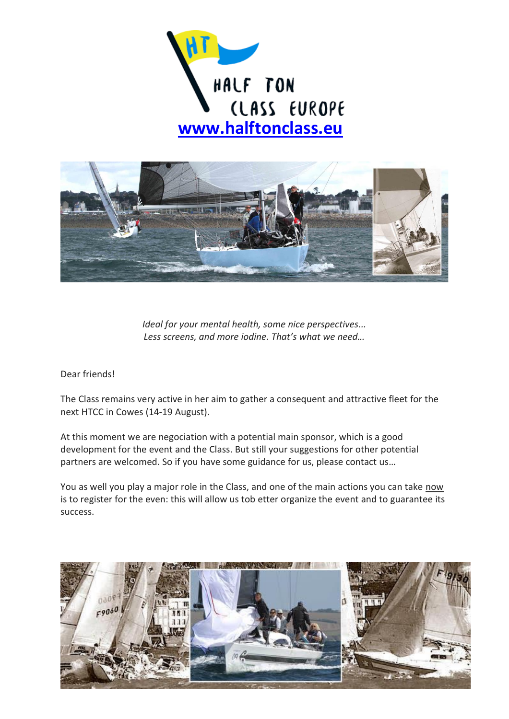



*Ideal for your mental health, some nice perspectives... Less screens, and more iodine. That's what we need…*

Dear friends!

The Class remains very active in her aim to gather a consequent and attractive fleet for the next HTCC in Cowes (14-19 August).

At this moment we are negociation with a potential main sponsor, which is a good development for the event and the Class. But still your suggestions for other potential partners are welcomed. So if you have some guidance for us, please contact us…

You as well you play a major role in the Class, and one of the main actions you can take now is to register for the even: this will allow us tob etter organize the event and to guarantee its success.

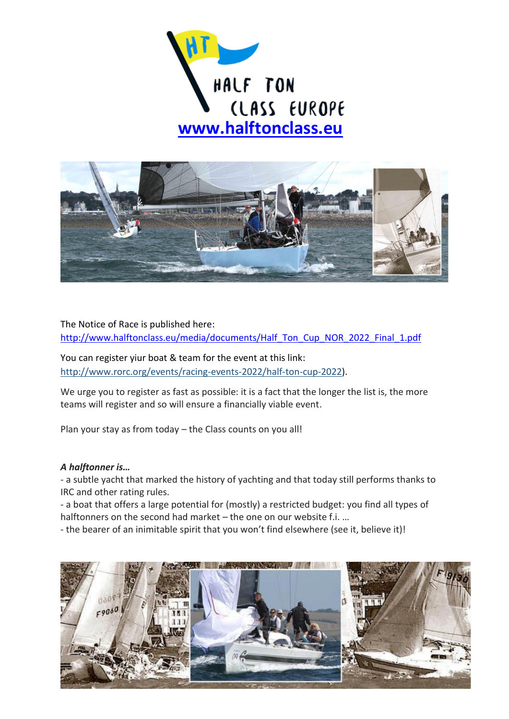



The Notice of Race is published here: [http://www.halftonclass.eu/media/documents/Half\\_Ton\\_Cup\\_NOR\\_2022\\_Final\\_1.pdf](http://www.halftonclass.eu/media/documents/Half_Ton_Cup_NOR_2022_Final_1.pdf)

You can register yiur boat & team for the event at this link: http://www.rorc.org/events/racing-events-2022/half-ton-cup-2022).

We urge you to register as fast as possible: it is a fact that the longer the list is, the more teams will register and so will ensure a financially viable event.

Plan your stay as from today – the Class counts on you all!

## *A halftonner is…*

- a subtle yacht that marked the history of yachting and that today still performs thanks to IRC and other rating rules.

- a boat that offers a large potential for (mostly) a restricted budget: you find all types of halftonners on the second had market – the one on our website f.i. …

- the bearer of an inimitable spirit that you won't find elsewhere (see it, believe it)!